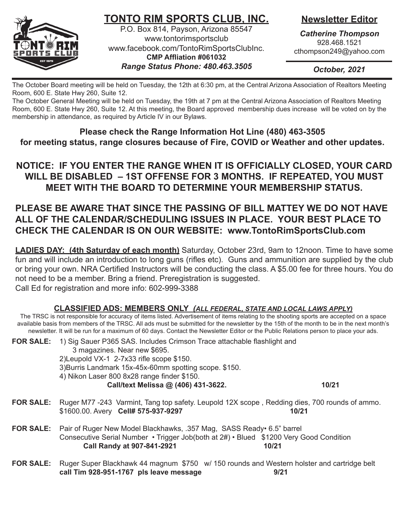

# **TONTO RIM SPORTS CLUB, INC.**

P.O. Box 814, Payson, Arizona 85547 www.tontorimsportsclub www.facebook.com/TontoRimSportsClubInc. **CMP Affliation #061032** *Range Status Phone: 480.463.3505*

## **Newsletter Editor**

*Catherine Thompson* 928.468.1521 cthompson249@yahoo.com

*October, 2021*

The October Board meeting will be held on Tuesday, the 12th at 6:30 pm, at the Central Arizona Association of Realtors Meeting Room, 600 E. State Hwy 260, Suite 12.

The October General Meeting will be held on Tuesday, the 19th at 7 pm at the Central Arizona Association of Realtors Meeting Room, 600 E. State Hwy 260, Suite 12. At this meeting, the Board approved membership dues increase will be voted on by the membership in attendance, as required by Article IV in our Bylaws.

**Please check the Range Information Hot Line (480) 463-3505 for meeting status, range closures because of Fire, COVID or Weather and other updates.**

**NOTICE: If you enter the range when it is officially CLOSED, your card will be disabled – 1st offense for 3 months. If repeated, YOU must meet with the Board to determine your membership status.**

## **PLEASE BE AWARE THAT SINCE THE PASSING OF BILL MATTEY WE DO NOT HAVE ALL OF THE CALENDAR/SCHEDULING ISSUES IN PLACE. YOUR BEST PLACE TO CHECK THE CALENDAR IS ON OUR WEBSITE: www.TontoRimSportsClub.com**

**LADIES DAY: (4th Saturday of each month)** Saturday, October 23rd, 9am to 12noon. Time to have some fun and will include an introduction to long guns (rifles etc). Guns and ammunition are supplied by the club or bring your own. NRA Certified Instructors will be conducting the class. A \$5.00 fee for three hours. You do not need to be a member. Bring a friend. Preregistration is suggested. Call Ed for registration and more info: 602-999-3388

### **CLASSIFIED ADS: MEMBERS ONLY** *(ALL FEDERAL, STATE AND LOCAL LAWS APPLY)*

The TRSC is not responsible for accuracy of items listed. Advertisement of items relating to the shooting sports are accepted on a space available basis from members of the TRSC. All ads must be submitted for the newsletter by the 15th of the month to be in the next month's newsletter. It will be run for a maximum of 60 days. Contact the Newsletter Editor or the Public Relations person to place your ads.

**FOR SALE:** 1) Sig Sauer P365 SAS. Includes Crimson Trace attachable flashlight and 3 magazines. Near new \$695. 2)Leupold VX-1 2-7x33 rifle scope \$150. 3)Burris Landmark 15x-45x-60mm spotting scope. \$150. 4) Nikon Laser 800 8x28 range finder \$150. **Call/text Melissa @ (406) 431-3622. 10/21 FOR SALE:** Ruger M77 -243 Varmint, Tang top safety. Leupold 12X scope , Redding dies, 700 rounds of ammo. \$1600.00. Avery **Cell# 575-937-9297 10/21 FOR SALE:** Pair of Ruger New Model Blackhawks, .357 Mag, SASS Ready• 6.5" barrel Consecutive Serial Number • Trigger Job(both at 2#) • Blued \$1200 Very Good Condition Call Randy at 907-841-2921 10/21

**FOR SALE:** Ruger Super Blackhawk 44 magnum \$750 w/ 150 rounds and Western holster and cartridge belt **call Tim 928-951-1767 pls leave message 9/21**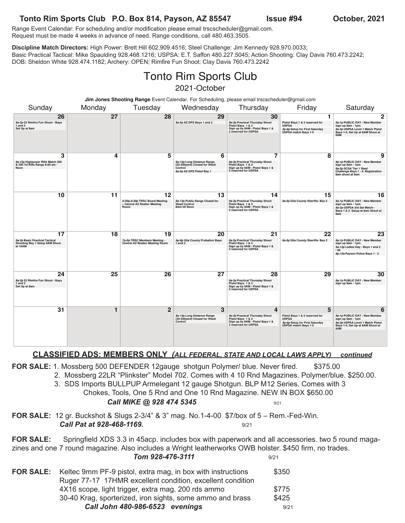### **Tonto Rim Sports Club P.O. Box 814, Payson, AZ 85547 Issue #94 October, 2021**

Range Event Calendar: For scheduling and/or modification please email trscscheduler@gmail.com. Request must be made 4 weeks in advance of need. Range conditions, call 480.463.3505.

**Discipline Match Directors:** High Power: Brett Hill 602.909.4516; Steel Challenge: Jim Kennedy 928.970.0033; Basic Practical Tactical: Mike Spaulding 928.468.1216; USPSA: E.T. Saffon 480.227.5045; Action Shooting: Clay Davis 760.473.2242; DOB: Sheldon White 928.474.1182; Archery: OPEN; Rimfire Fun Shoot: Clay Davis 760.473.2242

# Tonto Rim Sports Club 2021-October

| Jim Jones Shooting Range Event Calendar. For Scheduling, please email trscscheduler@gmail.com |        |                                                                              |                                                                                                         |                                                                                                                       |                                                                                                               |                                                                                                                                                   |
|-----------------------------------------------------------------------------------------------|--------|------------------------------------------------------------------------------|---------------------------------------------------------------------------------------------------------|-----------------------------------------------------------------------------------------------------------------------|---------------------------------------------------------------------------------------------------------------|---------------------------------------------------------------------------------------------------------------------------------------------------|
| Sunday                                                                                        | Monday | Tuesday                                                                      | Wednesday                                                                                               | Thursday                                                                                                              | Friday                                                                                                        | Saturday                                                                                                                                          |
| 26<br>8a-2p 22 Rimfire Fun Shoot - Bays<br>$1$ and $2$<br>Set Up at 8am                       | 27     | 28                                                                           | 29<br>8a-5p AZ DPS Bays 1 and 2                                                                         | 30<br>8a-2p Practical Thursday Shoot<br>Pistol Bays 1 & 2<br>Sign up by 9AM - Pistol Bays 1 &<br>2 reserved for USPSA | 1<br>Pistol Bays 1 & 2 reserved for<br><b>USPSA</b><br>3p-6p Setup for First Saturday<br>USPSA match Bays 1-5 | $\mathbf{2}$<br>8a-1p PUBLIC DAY - New Member<br>sign up 9am - 1pm<br>8a-2p USPSA Level 1 Match Pistol<br>Bays 1-5, Set Up at 8AM Shoot at<br>9AM |
| 3<br>8a-12p Highpower Rifle Match 200<br>& 300 Yd Rifle Range 8:00 am -<br>Noon               | 4      | 5                                                                            | 6<br>8a-12p Long Distance Range<br>(25-300yard) Closed for Weed<br>Control<br>8a-5p AZ DPS Pistol Bay 1 | 7<br>8a-2p Practical Thursday Shoot<br>Pistol Bays 1 & 2<br>Sign up by 9AM - Pistol Bays 1 &<br>2 reserved for USPSA  | 8                                                                                                             | 9<br>8a-1p PUBLIC DAY - New Member<br>sign up 9am - 1pm<br>8a-2p SCSA Tier 1 Steel<br>Challenge Bays 1 - 4. Registration<br>8am shoot at 9am      |
| 10                                                                                            | 11     | 12<br>6:30p-8:30p TRSC Board Meeting<br>- Central AZ Realtor Meeting<br>Room | 13<br>8a-12p Public Range Closed for<br><b>Weed Control</b><br>8Am till Noon                            | 14<br>8a-2p Practical Thursday Shoot<br>Pistol Bays 1 & 2<br>Sign up by 9AM - Pistol Bays 1 &<br>2 reserved for USPSA | 15<br>8a-5p Gila County Sheriffs- Bay 2                                                                       | 16<br>8a-1p PUBLIC DAY - New Member<br>sign up 9am - 1pm<br>8a-2p USPSA 3rd Sat Match -<br>Bays 1 & 2 Setup at 8am Shoot at<br>9am                |
| 17<br>9a-2p Basic Practical Tactical<br>Shooting Bay 1 Setup 9AM Shoot<br>at 10AM             | 18     | 19<br>7p-9p TRSC Members Meeting -<br>Central AZ Realtor Meeting Room        | 20<br>4p-8p Gila County Probation Bays<br>1 and 2                                                       | 21<br>8a-2p Practical Thursday Shoot<br>Pistol Bays 1 & 2<br>Sign up by 9AM - Pistol Bays 1 &<br>2 reserved for USPSA | 22<br>8a-5p Gila County Sheriffs- Bay 2                                                                       | 23<br>8a-1p PUBLIC DAY - New Member<br>sign up 9am - 1pm<br>9a-12p Ladies Day - Bays 1 and 2<br>$-$ \$5<br>8p-12a Payson Police Bays 1 - 2        |
| 24<br>8a-2p 22 Rimfire Fun Shoot - Bays<br>$1$ and $2$<br>Set Up at 8am                       | 25     | 26                                                                           | 27                                                                                                      | 28<br>8a-2p Practical Thursday Shoot<br>Pistol Bays 1 & 2<br>Sign up by 9AM - Pistol Bays 1 &<br>2 reserved for USPSA | 29                                                                                                            | 30<br>8a-1p PUBLIC DAY - New Member<br>sign up 9am - 1pm                                                                                          |
| 31                                                                                            | 1      | $\overline{2}$                                                               | 3<br>8a-12p Long Distance Range<br>(25-300yard) Closed for Weed<br>Control                              | 4<br>8a-2p Practical Thursday Shoot<br>Pistol Bays 1 & 2<br>Sign up by 9AM - Pistol Bays 1 &<br>2 reserved for USPSA  | 5<br>Pistol Bays 1 & 2 reserved for<br><b>USPSA</b><br>3p-6p Setup for First Saturday<br>USPSA match Bays 1-5 | 6<br>8a-1p PUBLIC DAY - New Member<br>sign up 9am - 1pm<br>8a-2p USPSA Level 1 Match Pistol<br>Bays 1-5, Set Up at 8AM Shoot at<br>9AM            |

#### **CLASSIFIED ADS: MEMBERS ONLY** *(ALL FEDERAL, STATE AND LOCAL LAWS APPLY) continued*

**FOR SALE:** 1. Mossberg 500 DEFENDER 12gauge shotgun Polymer/ blue. Never fired. \$375.00

- 2. Mossberg 22LR "Plinkster" Model 702. Comes with 4 10 Rnd Magazines. Polymer/blue. \$250.00.
- 3. SDS Imports BULLPUP Armelegant 12 gauge Shotgun. BLP M12 Series. Comes with 3
	- Chokes, Tools, One 5 Rnd and One 10 Rnd Magazine. NEW IN BOX \$650.00

#### **Call MIKE @ 928 474 5345** 9/21

**FOR SALE:** 12 gr. Buckshot & Slugs 2-3/4" & 3" mag. No.1-4-00 \$7/box of 5 – Rem.-Fed-Win. **Call Pat at 928-468-1169.** 9/21

**FOR SALE:** Springfield XDS 3.3 in 45acp. includes box with paperwork and all accessories. two 5 round magazines and one 7 round magazine. Also includes a Wright leatherworks OWB holster. \$450 firm, no trades. **Tom 928-476-3111** 9/21

**FOR SALE:** Keltec 9mm PF-9 pistol, extra mag, in box with instructions \$350 Ruger 77-17 17HMR excellent condition, excellent condition 4X16 scope, light trigger, extra mag, 200 rds ammo \$775 30-40 Krag, sporterized, iron sights, some ammo and brass \$425 **Call John 480-986-6523 evenings** 9/21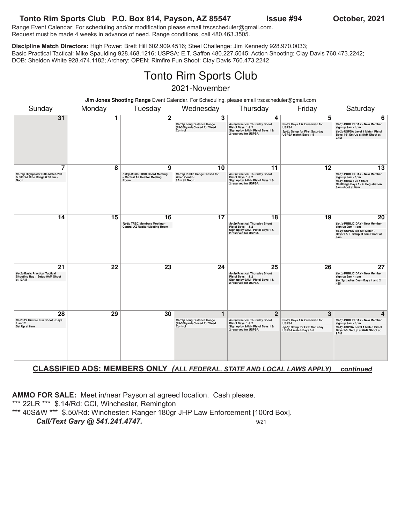#### **Tonto Rim Sports Club P.O. Box 814, Payson, AZ 85547 Issue #94 October, 2021**

Range Event Calendar: For scheduling and/or modification please email trscscheduler@gmail.com. Request must be made 4 weeks in advance of need. Range conditions, call 480.463.3505.

**Discipline Match Directors:** High Power: Brett Hill 602.909.4516; Steel Challenge: Jim Kennedy 928.970.0033; Basic Practical Tactical: Mike Spaulding 928.468.1216; USPSA: E.T. Saffon 480.227.5045; Action Shooting: Clay Davis 760.473.2242; DOB: Sheldon White 928.474.1182; Archery: OPEN; Rimfire Fun Shoot: Clay Davis 760.473.2242

# Tonto Rim Sports Club 2021-November

| Jim Jones Shooting Range Event Calendar. For Scheduling, please email trscscheduler@gmail.com |        |                                                                              |                                                                                       |                                                                                                                                   |                                                                                                               |                                                                                                                                               |
|-----------------------------------------------------------------------------------------------|--------|------------------------------------------------------------------------------|---------------------------------------------------------------------------------------|-----------------------------------------------------------------------------------------------------------------------------------|---------------------------------------------------------------------------------------------------------------|-----------------------------------------------------------------------------------------------------------------------------------------------|
| Sunday                                                                                        | Monday | Tuesday                                                                      | Wednesday                                                                             | Thursday                                                                                                                          | Friday                                                                                                        | Saturday                                                                                                                                      |
| 31                                                                                            | 1      | $\mathbf 2$                                                                  | 3<br>8a-12p Long Distance Range<br>(25-300yard) Closed for Weed<br>Control            | 4<br>8a-2p Practical Thursday Shoot<br>Pistol Bays 1 & 2<br>Sign up by 9AM - Pistol Bays 1 &<br>2 reserved for USPSA              | 5<br>Pistol Bays 1 & 2 reserved for<br><b>USPSA</b><br>3p-6p Setup for First Saturday<br>USPSA match Bays 1-5 | 6<br>8a-1p PUBLIC DAY - New Member<br>sign up 9am - 1pm<br>8a-2p USPSA Level 1 Match Pistol<br>Bays 1-5, Set Up at 8AM Shoot at<br>9AM        |
| 7<br>8a-12p Highpower Rifle Match 200<br>& 300 Yd Rifle Range 8:00 am -<br>Noon               | 8      | 9<br>6:30p-8:30p TRSC Board Meeting<br>- Central AZ Realtor Meeting<br>Room  | 10<br>8a-12p Public Range Closed for<br><b>Weed Control</b><br>8Am till Noon          | 11<br>8a-2p Practical Thursday Shoot<br>Pistol Bays 1 & 2<br>Sign up by 9AM - Pistol Bays 1 &<br>2 reserved for USPSA             | 12                                                                                                            | 13<br>8a-1p PUBLIC DAY - New Member<br>sign up 9am - 1pm<br>8a-2p SCSA Tier 1 Steel<br>Challenge Bays 1 - 4. Registration<br>8am shoot at 9am |
| 14                                                                                            | 15     | 16<br>7p-9p TRSC Members Meeting -<br><b>Central AZ Realtor Meeting Room</b> | 17                                                                                    | 18<br>8a-2p Practical Thursday Shoot<br>Pistol Bays 1 & 2<br>Sign up by 9AM - Pistol Bays 1 &<br>2 reserved for USPSA             | 19                                                                                                            | 20<br>8a-1p PUBLIC DAY - New Member<br>sign up 9am - 1pm<br>8a-2p USPSA 3rd Sat Match -<br>Bays 1 & 2 Setup at 8am Shoot at<br>9am            |
| 21<br>9a-2p Basic Practical Tactical<br>Shooting Bay 1 Setup 9AM Shoot<br>at 10AM             | 22     | 23                                                                           | 24                                                                                    | 25<br>8a-2p Practical Thursday Shoot<br>Pistol Bays 1 & 2<br>Sign up by 9AM - Pistol Bays 1 &<br>2 reserved for USPSA             | 26                                                                                                            | 27<br>8a-1p PUBLIC DAY - New Member<br>sign up 9am - 1pm<br>9a-12p Ladies Day - Bays 1 and 2<br>$-$ \$5                                       |
| 28<br>8a-2p 22 Rimfire Fun Shoot - Bays<br>$1$ and $2$<br>Set Up at 8am                       | 29     | 30                                                                           | $\mathbf{1}$<br>8a-12p Long Distance Range<br>(25-300yard) Closed for Weed<br>Control | $\overline{2}$<br>8a-2p Practical Thursday Shoot<br>Pistol Bays 1 & 2<br>Sign up by 9AM - Pistol Bays 1 &<br>2 reserved for USPSA | 3<br>Pistol Bays 1 & 2 reserved for<br><b>USPSA</b><br>3p-6p Setup for First Saturday<br>USPSA match Bays 1-5 | 4<br>8a-1p PUBLIC DAY - New Member<br>sign up 9am - 1pm<br>8a-2p USPSA Level 1 Match Pistol<br>Bays 1-5, Set Up at 8AM Shoot at<br>9AM        |

#### **CLASSIFIED ADS: MEMBERS ONLY** *(ALL FEDERAL, STATE AND LOCAL LAWS APPLY) continued*

**AMMO FOR SALE:** Meet in/near Payson at agreed location. Cash please.

\*\*\* 22LR \*\*\* \$.14/Rd: CCI, Winchester, Remington

\*\*\* 40S&W \*\*\* \$.50/Rd: Winchester: Ranger 180gr JHP Law Enforcement [100rd Box]. **Call/Text Gary @ 541.241.4747.** 9/21